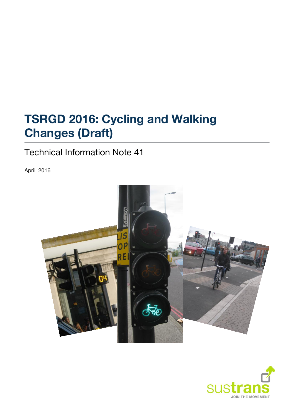# **TSRGD 2016: Cycling and Walking Changes (Draft)**

# Technical Information Note 41

April 2016



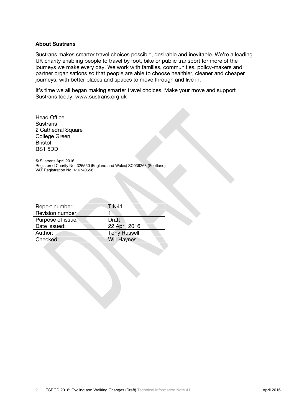#### **About Sustrans**

Sustrans makes smarter travel choices possible, desirable and inevitable. We're a leading UK charity enabling people to travel by foot, bike or public transport for more of the journeys we make every day. We work with families, communities, policy-makers and partner organisations so that people are able to choose healthier, cleaner and cheaper journeys, with better places and spaces to move through and live in.

It's time we all began making smarter travel choices. Make your move and support Sustrans today. [www.sustrans.org.uk](http://www.sustrans.org.uk/)

Head Office Sustrans 2 Cathedral Square College Green Bristol BS1 5DD

© Sustrans April 2016 Registered Charity No. 326550 (England and Wales) SC039263 (Scotland) VAT Registration No. 416740656

| Report number:    | <b>TIN41</b>        |  |
|-------------------|---------------------|--|
| Revision number:  |                     |  |
| Purpose of issue: | Draft               |  |
| Date issued:      | 22 April 2016       |  |
| Author:           | <b>Tony Russell</b> |  |
| Checked:          | <b>Will Haynes</b>  |  |
|                   |                     |  |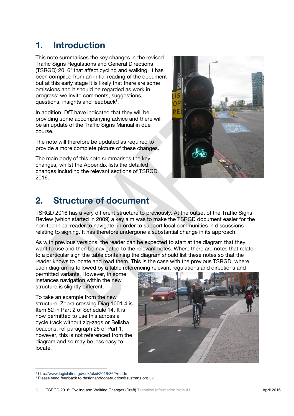### **1. Introduction**

This note summarises the key changes in the revised Traffic Signs Regulations and General Directions (TSRGD) 2016<sup>1</sup> that affect cycling and walking. It has been compiled from an initial reading of the document but at this early stage it is likely that there are some omissions and it should be regarded as work in progress; we invite comments, suggestions, questions, insights and feedback $2$ .

In addition, DfT have indicated that they will be providing some accompanying advice and there will be an update of the Traffic Signs Manual in due course.

The note will therefore be updated as required to provide a more complete picture of these changes.

The main body of this note summarises the key changes, whilst the Appendix lists the detailed changes including the relevant sections of TSRGD 2016.



### **2. Structure of document**

TSRGD 2016 has a very different structure to previously. At the outset of the Traffic Signs Review (which started in 2009) a key aim was to make the TSRGD document easier for the non-technical reader to navigate, in order to support local communities in discussions relating to signing. It has therefore undergone a substantial change in its approach.

As with previous versions, the reader can be expected to start at the diagram that they want to use and then be navigated to the relevant notes. Where there are notes that relate to a particular sign the table containing the diagram should list these notes so that the reader knows to locate and read them. This is the case with the previous TSRGD, where each diagram is followed by a table referencing relevant regulations and directions and

permitted variants. However, in some instances navigation within the new structure is slightly different.

To take an example from the new structure: Zebra crossing Diag 1001.4 is Item 52 in Part 2 of Schedule 14. It is now permitted to use this across a cycle track without zig-zags or Belisha beacons, ref paragraph 25 of Part 1; however, this is not referenced from the diagram and so may be less easy to locate.



<sup>1</sup> [http://www.legislation.gov.uk/uksi/2016/362/made](file:///C:/Users/will.haynes/AppData/Local/Microsoft/Windows/Temporary%20Internet%20Files/Content.Outlook/T6UI9B64/UrlBlockedError.aspx)

 $\overline{a}$ 

<sup>2</sup> Please send feedback to designandconstruction@sustrans.org.uk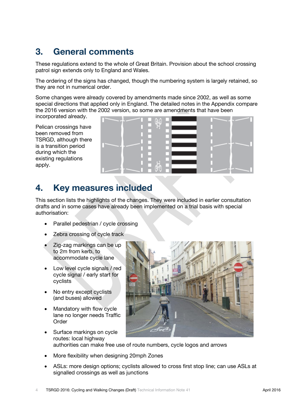### **3. General comments**

These regulations extend to the whole of Great Britain. Provision about the school crossing patrol sign extends only to England and Wales.

The ordering of the signs has changed, though the numbering system is largely retained, so they are not in numerical order.

Some changes were already covered by amendments made since 2002, as well as some special directions that applied only in England. The detailed notes in the Appendix compare the 2016 version with the 2002 version, so some are amendments that have been

incorporated already.

Pelican crossings have been removed from TSRGD, although there is a transition period during which the existing regulations apply.



#### **4. Key measures included**

This section lists the highlights of the changes. They were included in earlier consultation drafts and in some cases have already been implemented on a trial basis with special authorisation:

- Parallel pedestrian / cycle crossing
- Zebra crossing of cycle track
- Zig-zag markings can be up to 2m from kerb, to accommodate cycle lane
- Low level cycle signals / red cycle signal / early start for cyclists
- No entry except cyclists (and buses) allowed
- Mandatory with flow cycle lane no longer needs Traffic Order



• Surface markings on cycle routes: local highway authorities can make free use of route numbers, cycle logos and arrows

- More flexibility when designing 20mph Zones
- ASLs: more design options; cyclists allowed to cross first stop line; can use ASLs at signalled crossings as well as junctions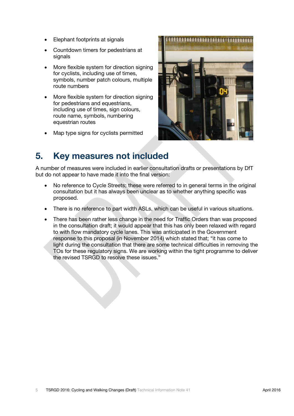- Elephant footprints at signals
- Countdown timers for pedestrians at signals
- More flexible system for direction signing for cyclists, including use of times, symbols, number patch colours, multiple route numbers
- More flexible system for direction signing for pedestrians and equestrians, including use of times, sign colours, route name, symbols, numbering equestrian routes
- Map type signs for cyclists permitted



#### **5. Key measures not included**

A number of measures were included in earlier consultation drafts or presentations by DfT but do not appear to have made it into the final version:

- No reference to Cycle Streets; these were referred to in general terms in the original consultation but it has always been unclear as to whether anything specific was proposed.
- There is no reference to part width ASLs, which can be useful in various situations.
- There has been rather less change in the need for Traffic Orders than was proposed in the consultation draft; it would appear that this has only been relaxed with regard to with flow mandatory cycle lanes. This was anticipated in the Government response to this proposal (in November 2014) which stated that; "it has come to light during the consultation that there are some technical difficulties in removing the TOs for these regulatory signs. We are working within the tight programme to deliver the revised TSRGD to resolve these issues."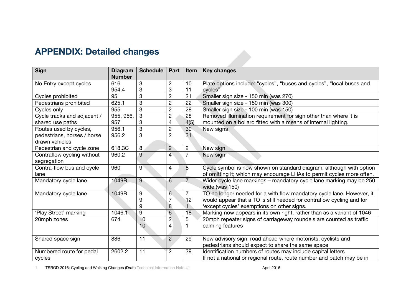# **APPENDIX: Detailed changes**

| <b>Sign</b>                 | <b>Diagram</b><br><b>Number</b> | <b>Schedule</b> | Part           | <b>Item</b>    | <b>Key changes</b>                                                                    |
|-----------------------------|---------------------------------|-----------------|----------------|----------------|---------------------------------------------------------------------------------------|
| No Entry except cycles      | 616                             | 3               | $\overline{2}$ | 10             | Plate options include: "cycles", "buses and cycles", "local buses and                 |
|                             | 954.4                           | 3               | 3              | 11             | cycles"                                                                               |
| Cycles prohibited           | 951                             | 3               | $\overline{2}$ | 21             | Smaller sign size - 150 min (was 270)                                                 |
| Pedestrians prohibited      | 625.1                           | 3               | $\overline{2}$ | 22             | Smaller sign size - 150 min (was 300)                                                 |
| Cycles only                 | 955                             | 3               | $\overline{2}$ | 28             | Smaller sign size - 100 min (was 150)                                                 |
| Cycle tracks and adjacent / | 955, 956,                       | 3               | $\overline{2}$ | 28             | Removed illumination requirement for sign other than where it is                      |
| shared use paths            | 957                             | 3               | 4              | 4(5)           | mounted on a bollard fitted with a means of internal lighting.                        |
| Routes used by cycles,      | 956.1                           | 3               | $\overline{2}$ | 30             | New signs                                                                             |
| pedestrians, horses / horse | 956.2                           | 3               | $\overline{2}$ | 31             |                                                                                       |
| drawn vehicles              |                                 |                 |                |                |                                                                                       |
| Pedestrian and cycle zone   | 618.3C                          | 8               | $\overline{2}$ | $\overline{c}$ | New sign                                                                              |
| Contraflow cycling without  | 960.2                           | 9               | 4              | $\overline{7}$ | New sign                                                                              |
| segregation                 |                                 |                 |                |                |                                                                                       |
| Contra-flow bus and cycle   | 960                             | $\overline{9}$  | $\overline{4}$ | 8              | Cycle symbol is now shown on standard diagram, although with option                   |
| lane                        |                                 |                 |                |                | of omitting it; which may encourage LHAs to permit cycles more often.                 |
| Mandatory cycle lane        | 1049B                           | 9               | 6              | $\overline{7}$ | Wider cycle lane markings - mandatory cycle lane marking may be 250<br>wide (was 150) |
| Mandatory cycle lane        | 1049B                           | 9               | $6\phantom{1}$ | $\overline{7}$ | TO no longer needed for a with flow mandatory cycle lane. However, it                 |
|                             |                                 | 9               |                | 12             | would appear that a TO is still needed for contraflow cycling and for                 |
|                             |                                 | 9               | 8              |                | 'except cycles' exemptions on other signs.                                            |
| 'Play Street' marking       | 1046.1                          | 9               | 6              | 18             | Marking now appears in its own right, rather than as a variant of 1046                |
| 20mph zones                 | 674                             | 10              | $\overline{c}$ | 5              | 20mph repeater signs of carriageway roundels are counted as traffic                   |
|                             |                                 | 10              | 4              |                | calming features                                                                      |
|                             |                                 |                 |                |                |                                                                                       |
| Shared space sign           | 886                             | 11              | $\overline{2}$ | 29             | New advisory sign: road ahead where motorists, cyclists and                           |
|                             |                                 |                 |                |                | pedestrians should expect to share the same space                                     |
| Numbered route for pedal    | 2602.2                          | 11              | $\overline{2}$ | 39             | Identification numbers of routes may include capital letters                          |
| cycles                      |                                 |                 |                |                | If not a national or regional route, route number and patch may be in                 |

1 TSRGD 2016: Cycling and Walking Changes (Draft) Technical Information Note 41 **April 2016** April 2016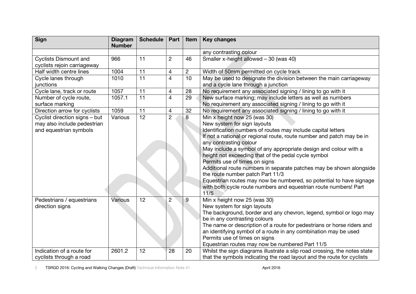| <b>Sign</b>                                                                            | <b>Diagram</b><br><b>Number</b> | Schedule        | Part           | Item            | <b>Key changes</b>                                                                                                                                                                                                                                                                                                                                                                                                                                                                                                                                                                                                                                       |
|----------------------------------------------------------------------------------------|---------------------------------|-----------------|----------------|-----------------|----------------------------------------------------------------------------------------------------------------------------------------------------------------------------------------------------------------------------------------------------------------------------------------------------------------------------------------------------------------------------------------------------------------------------------------------------------------------------------------------------------------------------------------------------------------------------------------------------------------------------------------------------------|
|                                                                                        |                                 |                 |                |                 | any contrasting colour                                                                                                                                                                                                                                                                                                                                                                                                                                                                                                                                                                                                                                   |
| <b>Cyclists Dismount and</b><br>cyclists rejoin carriageway                            | 966                             | 11              | $\overline{2}$ | 46              | Smaller x-height allowed - 30 (was 40)                                                                                                                                                                                                                                                                                                                                                                                                                                                                                                                                                                                                                   |
| Half width centre lines                                                                | 1004                            | 11              | 4              | $\overline{c}$  | Width of 50mm permitted on cycle track                                                                                                                                                                                                                                                                                                                                                                                                                                                                                                                                                                                                                   |
| Cycle lanes through<br>junctions                                                       | 1010                            | $\overline{11}$ | $\overline{4}$ | $\overline{10}$ | May be used to designate the division between the main carriageway<br>and a cycle lane through a junction                                                                                                                                                                                                                                                                                                                                                                                                                                                                                                                                                |
| Cycle lane, track or route                                                             | 1057                            | 11              | 4              | 28              | No requirement any associated signing / lining to go with it                                                                                                                                                                                                                                                                                                                                                                                                                                                                                                                                                                                             |
| Number of cycle route,<br>surface marking                                              | 1057.1                          | 11              | $\overline{4}$ | 29              | New surface marking; may include letters as well as numbers<br>No requirement any associated signing / lining to go with it                                                                                                                                                                                                                                                                                                                                                                                                                                                                                                                              |
| Direction arrow for cyclists                                                           | 1059                            | 11              | $\overline{4}$ | 32              | No requirement any associated signing / lining to go with it                                                                                                                                                                                                                                                                                                                                                                                                                                                                                                                                                                                             |
| Cyclist direction signs - but<br>may also include pedestrian<br>and equestrian symbols | Various                         | $\overline{12}$ | $\overline{2}$ | 8               | Min x height now 25 (was 30)<br>New system for sign layouts<br>Identification numbers of routes may include capital letters<br>If not a national or regional route, route number and patch may be in<br>any contrasting colour<br>May include a symbol of any appropriate design and colour with a<br>height not exceeding that of the pedal cycle symbol<br>Permits use of times on signs<br>Additional route numbers in separate patches may be shown alongside<br>the route number patch Part 11/3<br>Equestrian routes may now be numbered, so potential to have signage<br>with both cycle route numbers and equestrian route numbers! Part<br>11/5 |
| Pedestrians / equestrians<br>direction signs                                           | Various                         | 12              | $\overline{c}$ | 9               | Min x height now 25 (was 30)<br>New system for sign layouts<br>The background, border and any chevron, legend, symbol or logo may<br>be in any contrasting colours<br>The name or description of a route for pedestrians or horse riders and<br>an identifying symbol of a route in any combination may be used<br>Permits use of times on signs<br>Equestrian routes may now be numbered Part 11/5                                                                                                                                                                                                                                                      |
| Indication of a route for<br>cyclists through a road                                   | 2601.2                          | 12              | 28             | 20              | Whilst the sign diagrams illustrate a slip road crossing, the notes state<br>that the symbols indicating the road layout and the route for cyclists                                                                                                                                                                                                                                                                                                                                                                                                                                                                                                      |

2 TSRGD 2016: Cycling and Walking Changes (Draft) Technical Information Note 41 April 2016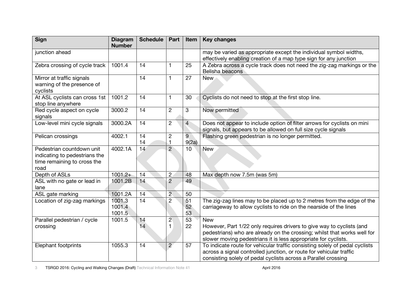| <b>Sign</b>                                                                                       | <b>Diagram</b><br><b>Number</b> | <b>Schedule</b> | Part             | Item           | <b>Key changes</b>                                                                                                                                                                                                   |
|---------------------------------------------------------------------------------------------------|---------------------------------|-----------------|------------------|----------------|----------------------------------------------------------------------------------------------------------------------------------------------------------------------------------------------------------------------|
| junction ahead                                                                                    |                                 |                 |                  |                | may be varied as appropriate except the individual symbol widths,<br>effectively enabling creation of a map type sign for any junction                                                                               |
| Zebra crossing of cycle track                                                                     | 1001.4                          | 14              | $\mathbf{1}$     | 25             | A Zebra across a cycle track does not need the zig-zag markings or the<br>Belisha beacons                                                                                                                            |
| Mirror at traffic signals<br>warning of the presence of<br>cyclists                               |                                 | 14              | $\mathbf{1}$     | 27             | <b>New</b>                                                                                                                                                                                                           |
| At ASL cyclists can cross 1st<br>stop line anywhere                                               | 1001.2                          | 14              | $\mathbf{1}$     | 30             | Cyclists do not need to stop at the first stop line.                                                                                                                                                                 |
| Red cycle aspect on cycle<br>signals                                                              | 3000.2                          | 14              | $\overline{c}$   | 3              | Now permitted                                                                                                                                                                                                        |
| Low-level mini cycle signals                                                                      | 3000.2A                         | 14              | $\overline{2}$   | $\overline{4}$ | Does not appear to include option of filter arrows for cyclists on mini<br>signals, but appears to be allowed on full size cycle signals                                                                             |
| Pelican crossings                                                                                 | 4002.1                          | 14<br>14        | $\mathbf 2$<br>1 | 9<br>9(2a)     | Flashing green pedestrian is no longer permitted.                                                                                                                                                                    |
| Pedestrian countdown unit<br>indicating to pedestrians the<br>time remaining to cross the<br>road | 4002.1A                         | 14              | $\overline{2}$   | 10             | <b>New</b>                                                                                                                                                                                                           |
| Depth of ASLs                                                                                     | $1001.2+$                       | 14              | $\overline{2}$   | 48             | Max depth now 7.5m (was 5m)                                                                                                                                                                                          |
| ASL with no gate or lead in<br>lane                                                               | 1001.2B                         | 14              | $\overline{2}$   | 49             |                                                                                                                                                                                                                      |
| ASL gate marking                                                                                  | 1001.2A                         | 14              | $\overline{2}$   | 50             |                                                                                                                                                                                                                      |
| Location of zig-zag markings                                                                      | 1001.3<br>1001.4<br>1001.5      | 14              | $\overline{2}$   | 51<br>52<br>53 | The zig-zag lines may to be placed up to 2 metres from the edge of the<br>carriageway to allow cyclists to ride on the nearside of the lines                                                                         |
| Parallel pedestrian / cycle                                                                       | 1001.5                          | 14              | $\overline{c}$   | 53             | <b>New</b>                                                                                                                                                                                                           |
| crossing                                                                                          |                                 | 14              | $\mathbf{1}$     | 22             | However, Part 1/22 only requires drivers to give way to cyclists (and<br>pedestrians) who are already on the crossing; whilst that works well for<br>slower moving pedestrians it is less appropriate for cyclists.  |
| <b>Elephant footprints</b>                                                                        | 1055.3                          | 14              | $\overline{c}$   | 57             | To indicate route for vehicular traffic consisting solely of pedal cyclists<br>across a signal controlled junction, or route for vehicular traffic<br>consisting solely of pedal cyclists across a Parallel crossing |

3 TSRGD 2016: Cycling and Walking Changes (Draft) Technical Information Note 41 April 2016